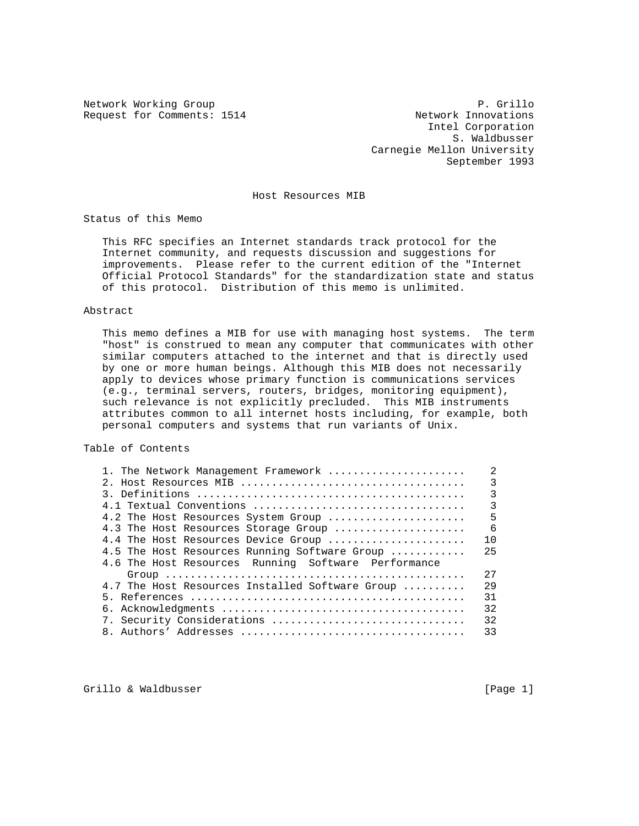Request for Comments: 1514 Network Innovations

Network Working Group **P. Grillo**  Intel Corporation S. Waldbusser Carnegie Mellon University September 1993

Host Resources MIB

Status of this Memo

 This RFC specifies an Internet standards track protocol for the Internet community, and requests discussion and suggestions for improvements. Please refer to the current edition of the "Internet Official Protocol Standards" for the standardization state and status of this protocol. Distribution of this memo is unlimited.

## Abstract

 This memo defines a MIB for use with managing host systems. The term "host" is construed to mean any computer that communicates with other similar computers attached to the internet and that is directly used by one or more human beings. Although this MIB does not necessarily apply to devices whose primary function is communications services (e.g., terminal servers, routers, bridges, monitoring equipment), such relevance is not explicitly precluded. This MIB instruments attributes common to all internet hosts including, for example, both personal computers and systems that run variants of Unix.

Table of Contents

| 1. The Network Management Framework                 | $\mathfrak{D}$ |
|-----------------------------------------------------|----------------|
|                                                     | 3              |
|                                                     | 3              |
| 4.1 Textual Conventions                             | 3              |
| 4.2 The Host Resources System Group                 | 5              |
| 4.3 The Host Resources Storage Group                | - 6            |
| 4.4 The Host Resources Device Group                 | 10             |
| 4.5 The Host Resources Running Software Group       | 25             |
| 4.6 The Host Resources Running Software Performance |                |
|                                                     | 2.7            |
| 4.7 The Host Resources Installed Software Group     | 2.9            |
|                                                     | 31             |
|                                                     | 32             |
| 7. Security Considerations                          | 32             |
|                                                     | 33             |
|                                                     |                |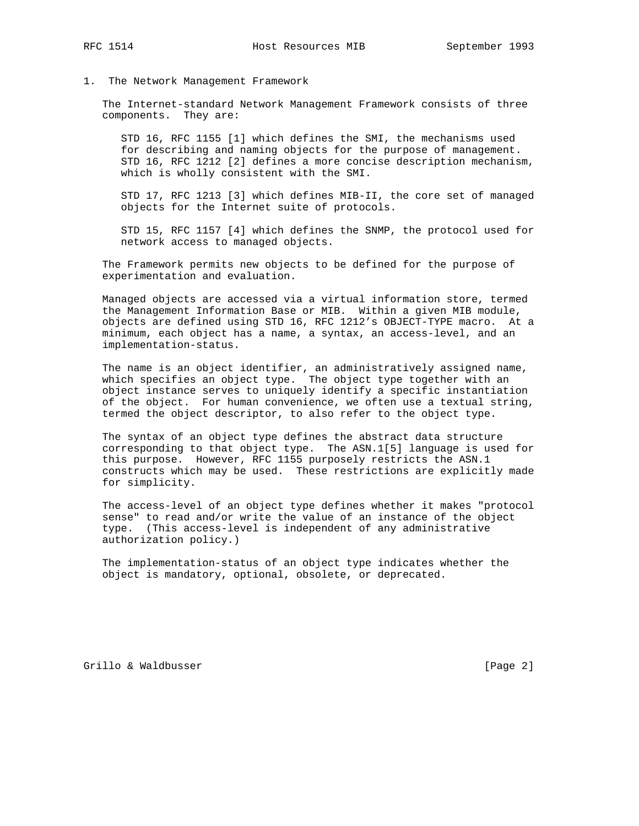## 1. The Network Management Framework

 The Internet-standard Network Management Framework consists of three components. They are:

 STD 16, RFC 1155 [1] which defines the SMI, the mechanisms used for describing and naming objects for the purpose of management. STD 16, RFC 1212 [2] defines a more concise description mechanism, which is wholly consistent with the SMI.

 STD 17, RFC 1213 [3] which defines MIB-II, the core set of managed objects for the Internet suite of protocols.

 STD 15, RFC 1157 [4] which defines the SNMP, the protocol used for network access to managed objects.

 The Framework permits new objects to be defined for the purpose of experimentation and evaluation.

 Managed objects are accessed via a virtual information store, termed the Management Information Base or MIB. Within a given MIB module, objects are defined using STD 16, RFC 1212's OBJECT-TYPE macro. At a minimum, each object has a name, a syntax, an access-level, and an implementation-status.

 The name is an object identifier, an administratively assigned name, which specifies an object type. The object type together with an object instance serves to uniquely identify a specific instantiation of the object. For human convenience, we often use a textual string, termed the object descriptor, to also refer to the object type.

 The syntax of an object type defines the abstract data structure corresponding to that object type. The ASN.1[5] language is used for this purpose. However, RFC 1155 purposely restricts the ASN.1 constructs which may be used. These restrictions are explicitly made for simplicity.

 The access-level of an object type defines whether it makes "protocol sense" to read and/or write the value of an instance of the object type. (This access-level is independent of any administrative authorization policy.)

 The implementation-status of an object type indicates whether the object is mandatory, optional, obsolete, or deprecated.

Grillo & Waldbusser [Page 2]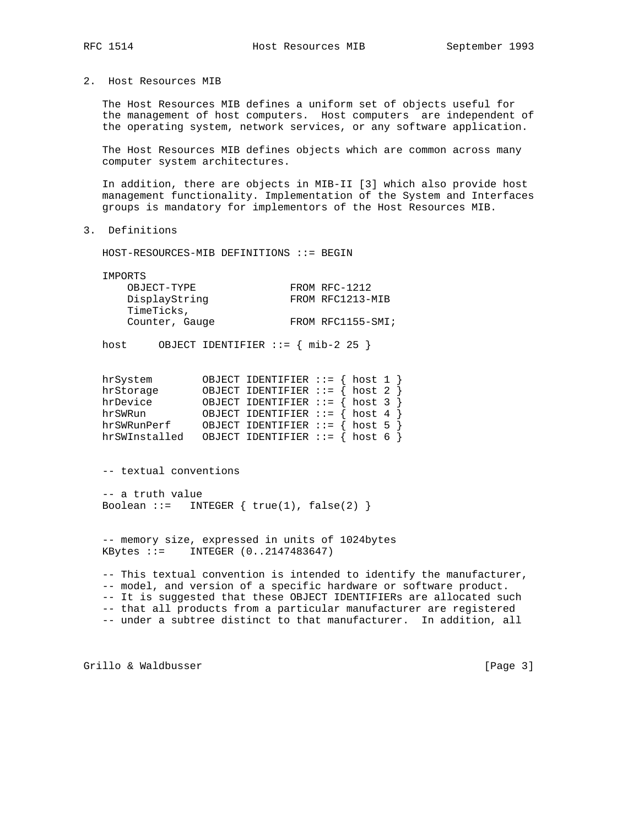2. Host Resources MIB

 The Host Resources MIB defines a uniform set of objects useful for the management of host computers. Host computers are independent of the operating system, network services, or any software application.

 The Host Resources MIB defines objects which are common across many computer system architectures.

 In addition, there are objects in MIB-II [3] which also provide host management functionality. Implementation of the System and Interfaces groups is mandatory for implementors of the Host Resources MIB.

3. Definitions

HOST-RESOURCES-MIB DEFINITIONS ::= BEGIN

IMPORTS

| FROM RFC-1212     |
|-------------------|
| FROM RFC1213-MIB  |
|                   |
| FROM RFC1155-SMI; |
|                   |

host OBJECT IDENTIFIER ::= { mib-2 25 }

| hrSystem      | OBJECT IDENTIFIER $::=$ { host 1 }   |  |  |
|---------------|--------------------------------------|--|--|
| hrStorage     | OBJECT IDENTIFIER ::= $\{ host 2 \}$ |  |  |
| hrDevice      | OBJECT IDENTIFIER ::= $\{ host 3 \}$ |  |  |
| hrSWRun       | OBJECT IDENTIFIER ::= $\{ host 4 \}$ |  |  |
| hrSWRunPerf   | OBJECT IDENTIFIER ::= $\{ host 5 \}$ |  |  |
| hrSWInstalled | OBJECT IDENTIFIER $::=$ { host 6 }   |  |  |

-- textual conventions

 -- a truth value Boolean ::= INTEGER  $\{ true(1), false(2) \}$ 

 -- memory size, expressed in units of 1024bytes KBytes ::= INTEGER (0..2147483647)

 -- This textual convention is intended to identify the manufacturer, -- model, and version of a specific hardware or software product. -- It is suggested that these OBJECT IDENTIFIERs are allocated such -- that all products from a particular manufacturer are registered -- under a subtree distinct to that manufacturer. In addition, all

Grillo & Waldbusser [Page 3]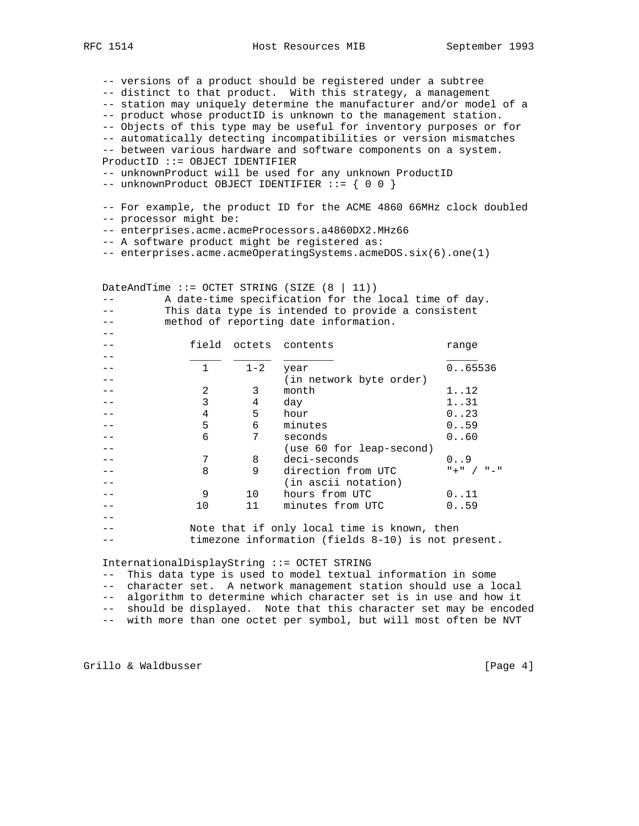-- versions of a product should be registered under a subtree -- distinct to that product. With this strategy, a management -- station may uniquely determine the manufacturer and/or model of a -- product whose productID is unknown to the management station.

 -- Objects of this type may be useful for inventory purposes or for -- automatically detecting incompatibilities or version mismatches

-- between various hardware and software components on a system.

ProductID ::= OBJECT IDENTIFIER

-- unknownProduct will be used for any unknown ProductID

-- unknownProduct OBJECT IDENTIFIER ::= { 0 0 }

 -- For example, the product ID for the ACME 4860 66MHz clock doubled -- processor might be:

-- enterprises.acme.acmeProcessors.a4860DX2.MHz66

-- A software product might be registered as:

-- enterprises.acme.acmeOperatingSystems.acmeDOS.six(6).one(1)

DateAndTime  $::=$  OCTET STRING (SIZE  $(8 | 11))$  -- A date-time specification for the local time of day. -- This data type is intended to provide a consistent -- method of reporting date information.  $- -$  -- field octets contents range -- \_\_\_\_\_ \_\_\_\_\_\_ \_\_\_\_\_\_\_\_ \_\_\_\_\_ -- 1 1-2 year 0..65536 -- (in network byte order) -- 2 3 month 1..12<br>-- 3 4 day 1..31 -- 3 4 day 1..31<br>-- 4 5 hour 0..23 -- 4 5 hour 0..23<br>-- 5 6 minutes 0..59 -- 5 6 minutes 0..59 -- 6 7 seconds 0..60 -- (use 60 for leap-second) -- 7 8 deci-seconds 0..9<br>-- 7 8 deci-seconds 0..9<br>-- 8 9 direction from UTC "+" / "-" -- 8 9 direction from UTC -- (in ascii notation)<br>-- 9 10 hours from UTC -- 9 10 hours from UTC 0..11 -- 10 11 minutes from UTC 0..59  $- -$  -- Note that if only local time is known, then -- timezone information (fields 8-10) is not present.

InternationalDisplayString ::= OCTET STRING

-- This data type is used to model textual information in some

-- character set. A network management station should use a local

-- algorithm to determine which character set is in use and how it

-- should be displayed. Note that this character set may be encoded

-- with more than one octet per symbol, but will most often be NVT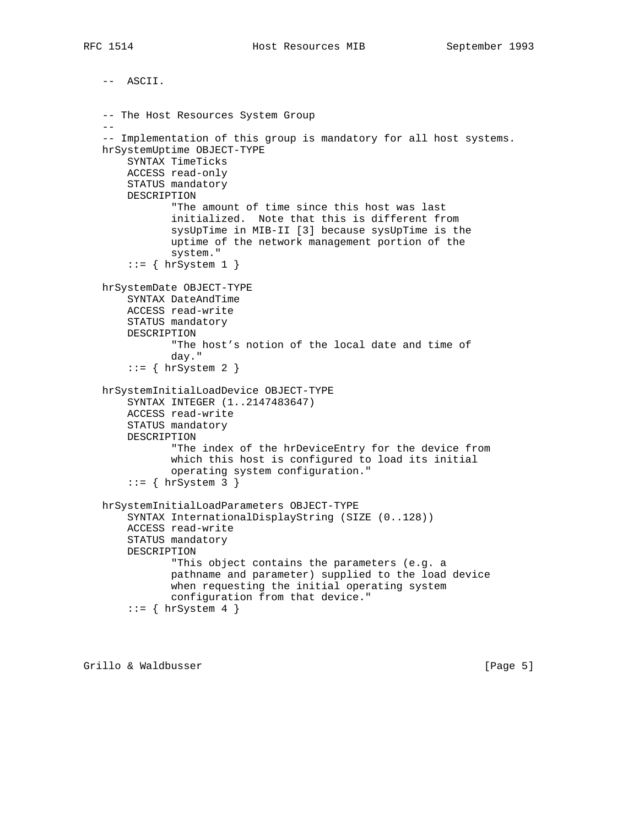```
 -- ASCII.
   -- The Host Resources System Group
 --
   -- Implementation of this group is mandatory for all host systems.
   hrSystemUptime OBJECT-TYPE
       SYNTAX TimeTicks
       ACCESS read-only
       STATUS mandatory
       DESCRIPTION
               "The amount of time since this host was last
               initialized. Note that this is different from
               sysUpTime in MIB-II [3] because sysUpTime is the
               uptime of the network management portion of the
               system."
        ::= { hrSystem 1 }
   hrSystemDate OBJECT-TYPE
       SYNTAX DateAndTime
       ACCESS read-write
       STATUS mandatory
       DESCRIPTION
               "The host's notion of the local date and time of
               day."
       ::= \{ hrsystem 2 \} hrSystemInitialLoadDevice OBJECT-TYPE
       SYNTAX INTEGER (1..2147483647)
       ACCESS read-write
       STATUS mandatory
       DESCRIPTION
               "The index of the hrDeviceEntry for the device from
               which this host is configured to load its initial
               operating system configuration."
       ::= { hrSystem 3 }
   hrSystemInitialLoadParameters OBJECT-TYPE
       SYNTAX InternationalDisplayString (SIZE (0..128))
       ACCESS read-write
       STATUS mandatory
       DESCRIPTION
               "This object contains the parameters (e.g. a
               pathname and parameter) supplied to the load device
               when requesting the initial operating system
               configuration from that device."
       ::= { hrSystem 4 }
```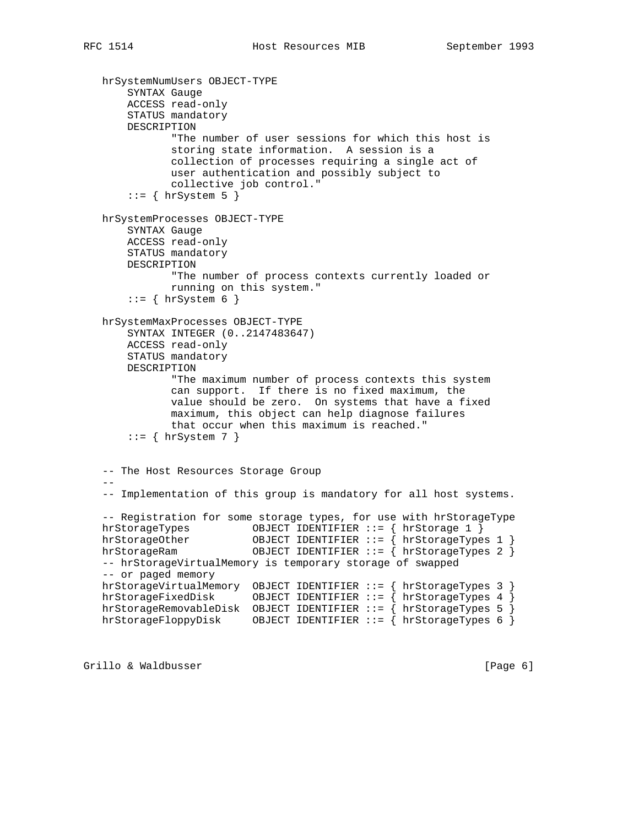hrSystemNumUsers OBJECT-TYPE SYNTAX Gauge ACCESS read-only STATUS mandatory DESCRIPTION "The number of user sessions for which this host is storing state information. A session is a collection of processes requiring a single act of user authentication and possibly subject to collective job control."  $::=$  { hrSystem 5 } hrSystemProcesses OBJECT-TYPE SYNTAX Gauge ACCESS read-only STATUS mandatory DESCRIPTION "The number of process contexts currently loaded or running on this system."  $::= \{ hrsystem 6 \}$  hrSystemMaxProcesses OBJECT-TYPE SYNTAX INTEGER (0..2147483647) ACCESS read-only STATUS mandatory DESCRIPTION "The maximum number of process contexts this system can support. If there is no fixed maximum, the value should be zero. On systems that have a fixed maximum, this object can help diagnose failures that occur when this maximum is reached."  $::=$  { hrSystem 7 } -- The Host Resources Storage Group  $-$  -- Implementation of this group is mandatory for all host systems. -- Registration for some storage types, for use with hrStorageType hrStorageTypes OBJECT IDENTIFIER ::= { hrStorage 1 } hrStorageOther OBJECT IDENTIFIER ::= { hrStorageTypes 1 } hrStorageRam OBJECT IDENTIFIER ::= { hrStorageTypes 2 } -- hrStorageVirtualMemory is temporary storage of swapped -- or paged memory hrStorageVirtualMemory OBJECT IDENTIFIER ::= { hrStorageTypes 3 } hrStorageFixedDisk OBJECT IDENTIFIER ::= { hrStorageTypes 4 } hrStorageRemovableDisk OBJECT IDENTIFIER ::= { hrStorageTypes 5 } hrStorageFloppyDisk OBJECT IDENTIFIER  $::=$   $\{$  hrStorageTypes 6  $\}$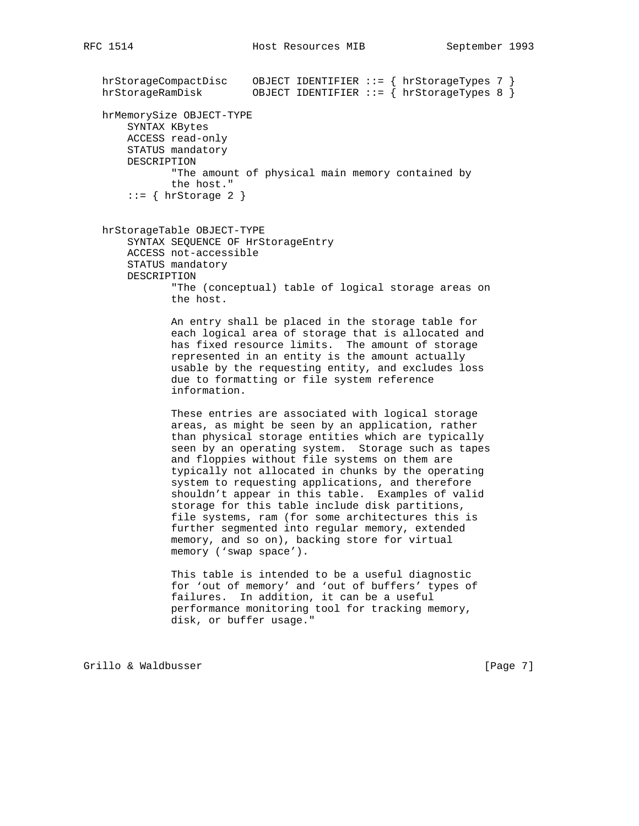```
 hrStorageCompactDisc OBJECT IDENTIFIER ::= { hrStorageTypes 7 }
 hrStorageRamDisk OBJECT IDENTIFIER ::= { hrStorageTypes 8 }
   hrMemorySize OBJECT-TYPE
       SYNTAX KBytes
       ACCESS read-only
       STATUS mandatory
       DESCRIPTION
               "The amount of physical main memory contained by
               the host."
       ::= \{ hrstorage 2 \} hrStorageTable OBJECT-TYPE
       SYNTAX SEQUENCE OF HrStorageEntry
       ACCESS not-accessible
       STATUS mandatory
       DESCRIPTION
               "The (conceptual) table of logical storage areas on
               the host.
               An entry shall be placed in the storage table for
               each logical area of storage that is allocated and
               has fixed resource limits. The amount of storage
               represented in an entity is the amount actually
               usable by the requesting entity, and excludes loss
               due to formatting or file system reference
               information.
               These entries are associated with logical storage
               areas, as might be seen by an application, rather
               than physical storage entities which are typically
               seen by an operating system. Storage such as tapes
               and floppies without file systems on them are
               typically not allocated in chunks by the operating
               system to requesting applications, and therefore
               shouldn't appear in this table. Examples of valid
               storage for this table include disk partitions,
               file systems, ram (for some architectures this is
               further segmented into regular memory, extended
               memory, and so on), backing store for virtual
               memory ('swap space').
               This table is intended to be a useful diagnostic
               for 'out of memory' and 'out of buffers' types of
               failures. In addition, it can be a useful
               performance monitoring tool for tracking memory,
               disk, or buffer usage."
```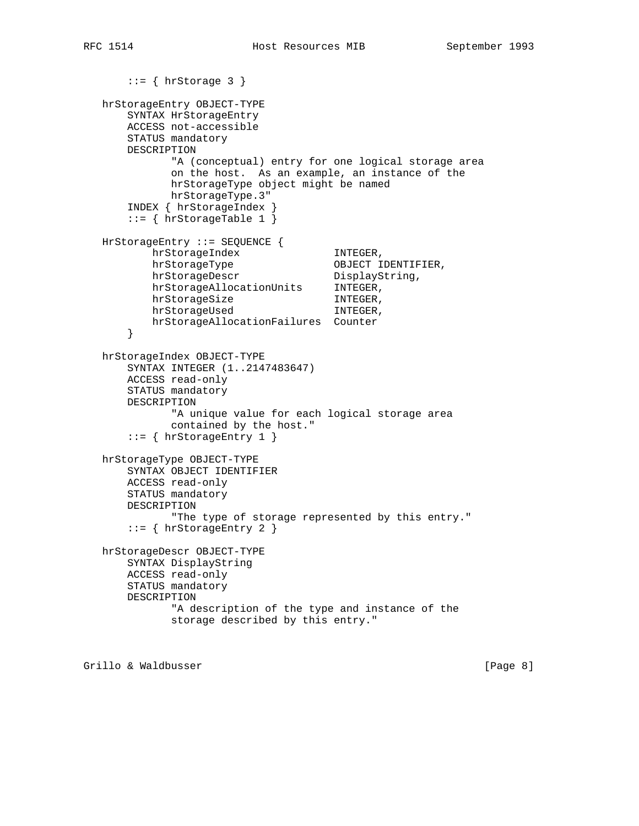```
::= { hrStorage 3 }
 hrStorageEntry OBJECT-TYPE
    SYNTAX HrStorageEntry
    ACCESS not-accessible
    STATUS mandatory
    DESCRIPTION
           "A (conceptual) entry for one logical storage area
           on the host. As an example, an instance of the
           hrStorageType object might be named
           hrStorageType.3"
     INDEX { hrStorageIndex }
     ::= { hrStorageTable 1 }
 HrStorageEntry ::= SEQUENCE {
       hrStorageIndex INTEGER,
       hrStorageType OBJECT IDENTIFIER,
       hrStorageDescr DisplayString,
        hrStorageAllocationUnits INTEGER,
       hrStorageSize INTEGER,
       hrStorageUsed INTEGER,
        hrStorageAllocationFailures Counter
     }
 hrStorageIndex OBJECT-TYPE
     SYNTAX INTEGER (1..2147483647)
    ACCESS read-only
    STATUS mandatory
    DESCRIPTION
            "A unique value for each logical storage area
           contained by the host."
     ::= { hrStorageEntry 1 }
 hrStorageType OBJECT-TYPE
    SYNTAX OBJECT IDENTIFIER
    ACCESS read-only
    STATUS mandatory
    DESCRIPTION
           "The type of storage represented by this entry."
     ::= { hrStorageEntry 2 }
 hrStorageDescr OBJECT-TYPE
    SYNTAX DisplayString
    ACCESS read-only
    STATUS mandatory
    DESCRIPTION
           "A description of the type and instance of the
           storage described by this entry."
```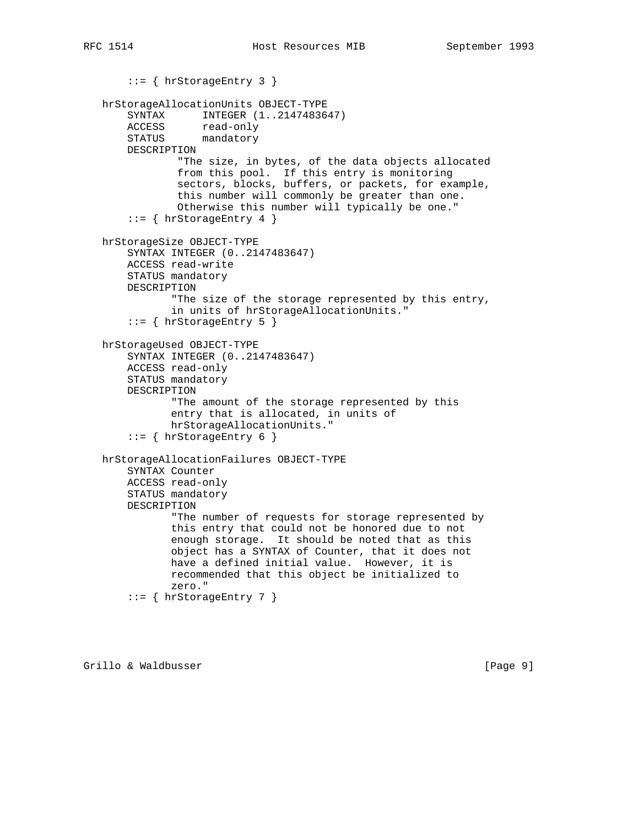```
 ::= { hrStorageEntry 3 }
   hrStorageAllocationUnits OBJECT-TYPE
       SYNTAX INTEGER (1..2147483647)
 ACCESS read-only
 STATUS mandatory
       DESCRIPTION
                "The size, in bytes, of the data objects allocated
                from this pool. If this entry is monitoring
                sectors, blocks, buffers, or packets, for example,
                this number will commonly be greater than one.
                Otherwise this number will typically be one."
       ::= { hrStorageEntry 4 }
   hrStorageSize OBJECT-TYPE
       SYNTAX INTEGER (0..2147483647)
       ACCESS read-write
       STATUS mandatory
       DESCRIPTION
               "The size of the storage represented by this entry,
               in units of hrStorageAllocationUnits."
        ::= { hrStorageEntry 5 }
   hrStorageUsed OBJECT-TYPE
       SYNTAX INTEGER (0..2147483647)
       ACCESS read-only
       STATUS mandatory
       DESCRIPTION
               "The amount of the storage represented by this
               entry that is allocated, in units of
               hrStorageAllocationUnits."
       ::= { hrStorageEntry 6 }
   hrStorageAllocationFailures OBJECT-TYPE
       SYNTAX Counter
       ACCESS read-only
       STATUS mandatory
       DESCRIPTION
               "The number of requests for storage represented by
               this entry that could not be honored due to not
               enough storage. It should be noted that as this
               object has a SYNTAX of Counter, that it does not
               have a defined initial value. However, it is
               recommended that this object be initialized to
               zero."
        ::= { hrStorageEntry 7 }
```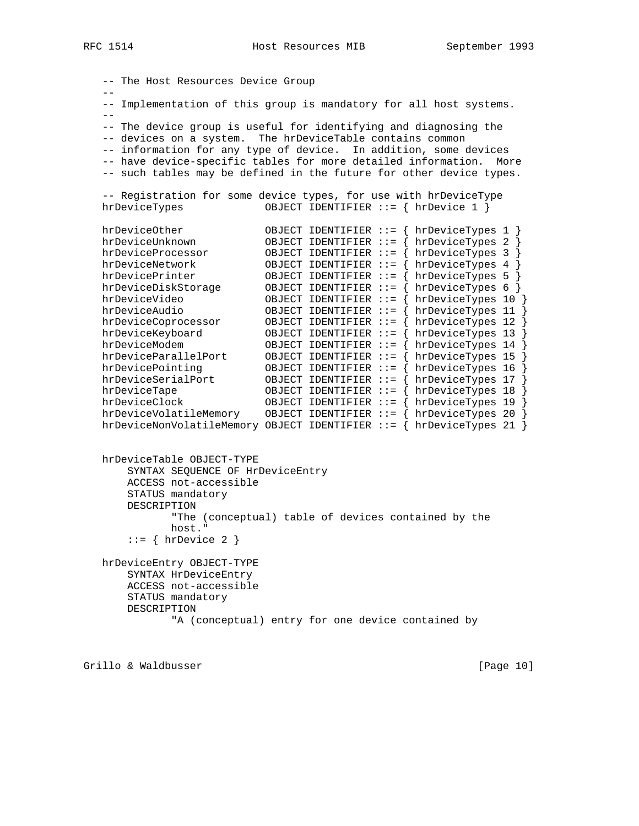-- The Host Resources Device Group -- -- Implementation of this group is mandatory for all host systems.  $-$  -- The device group is useful for identifying and diagnosing the -- devices on a system. The hrDeviceTable contains common -- information for any type of device. In addition, some devices -- have device-specific tables for more detailed information. More -- such tables may be defined in the future for other device types. -- Registration for some device types, for use with hrDeviceType hrDeviceTypes OBJECT IDENTIFIER ::= { hrDevice 1 } hrDeviceOther OBJECT IDENTIFIER ::= { hrDeviceTypes 1 } hrDeviceUnknown OBJECT IDENTIFIER ::= { hrDeviceTypes 2 } hrDeviceProcessor OBJECT IDENTIFIER ::= { hrDeviceTypes 3 } hrDeviceNetwork OBJECT IDENTIFIER ::= { hrDeviceTypes 4 } hrDevicePrinter OBJECT IDENTIFIER ::= { hrDeviceTypes 5 } hrDeviceDiskStorage OBJECT IDENTIFIER ::= { hrDeviceTypes 6 } hrDeviceVideo OBJECT IDENTIFIER ::= { hrDeviceTypes 10 } hrDeviceAudio OBJECT IDENTIFIER ::= { hrDeviceTypes 11 } hrDeviceCoprocessor OBJECT IDENTIFIER ::= { hrDeviceTypes 12 } hrDeviceKeyboard OBJECT IDENTIFIER ::= { hrDeviceTypes 13 } hrDeviceModem OBJECT IDENTIFIER ::= { hrDeviceTypes 14 } hrDeviceParallelPort OBJECT IDENTIFIER ::= { hrDeviceTypes 15 } hrDevicePointing OBJECT IDENTIFIER ::= { hrDeviceTypes 16 } hrDeviceSerialPort OBJECT IDENTIFIER ::= { hrDeviceTypes 17 } hrDeviceTape OBJECT IDENTIFIER ::= { hrDeviceTypes 18 } hrDeviceClock OBJECT IDENTIFIER ::= { hrDeviceTypes 19 } hrDeviceVolatileMemory OBJECT IDENTIFIER ::= { hrDeviceTypes 20 } hrDeviceNonVolatileMemory OBJECT IDENTIFIER ::= { hrDeviceTypes 21 } hrDeviceTable OBJECT-TYPE

 SYNTAX SEQUENCE OF HrDeviceEntry ACCESS not-accessible STATUS mandatory DESCRIPTION "The (conceptual) table of devices contained by the host."  $::=$  { hrDevice 2 }

 hrDeviceEntry OBJECT-TYPE SYNTAX HrDeviceEntry ACCESS not-accessible STATUS mandatory DESCRIPTION "A (conceptual) entry for one device contained by

Grillo & Waldbusser [Page 10]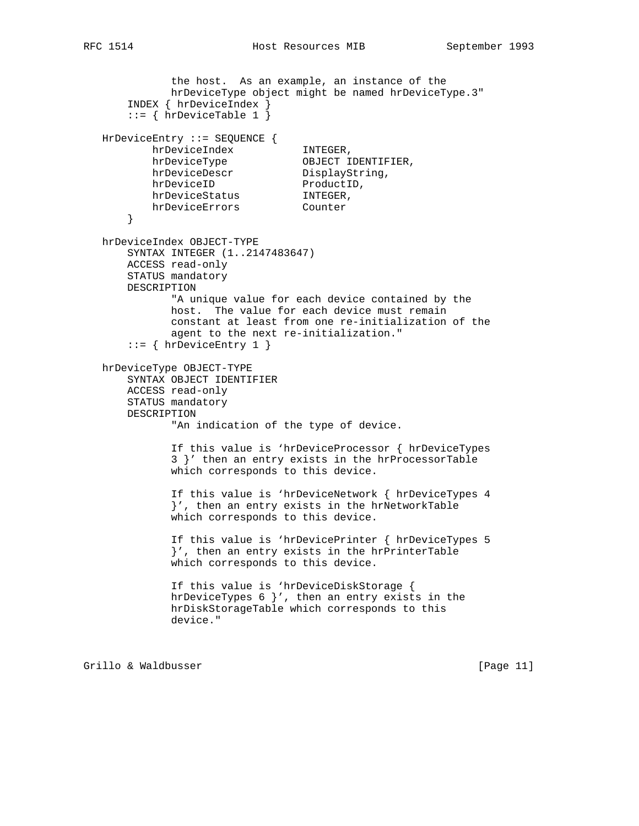```
 the host. As an example, an instance of the
             hrDeviceType object might be named hrDeviceType.3"
       INDEX { hrDeviceIndex }
       ::= { hrDeviceTable 1 }
   HrDeviceEntry ::= SEQUENCE {
 hrDeviceIndex INTEGER,
hrDeviceType OBJECT IDENTIFIER,
hrDeviceDescr DisplayString,
hrDeviceID ProductID,
hrDeviceStatus INTEGER,
 hrDeviceErrors Counter
       }
   hrDeviceIndex OBJECT-TYPE
       SYNTAX INTEGER (1..2147483647)
       ACCESS read-only
       STATUS mandatory
       DESCRIPTION
             "A unique value for each device contained by the
             host. The value for each device must remain
             constant at least from one re-initialization of the
             agent to the next re-initialization."
       ::= { hrDeviceEntry 1 }
   hrDeviceType OBJECT-TYPE
       SYNTAX OBJECT IDENTIFIER
       ACCESS read-only
       STATUS mandatory
       DESCRIPTION
              "An indication of the type of device.
             If this value is 'hrDeviceProcessor { hrDeviceTypes
              3 }' then an entry exists in the hrProcessorTable
             which corresponds to this device.
             If this value is 'hrDeviceNetwork { hrDeviceTypes 4
              }', then an entry exists in the hrNetworkTable
             which corresponds to this device.
             If this value is 'hrDevicePrinter { hrDeviceTypes 5
              }', then an entry exists in the hrPrinterTable
             which corresponds to this device.
             If this value is 'hrDeviceDiskStorage {
             hrDeviceTypes 6 }', then an entry exists in the
             hrDiskStorageTable which corresponds to this
             device."
```
Grillo & Waldbusser [Page 11]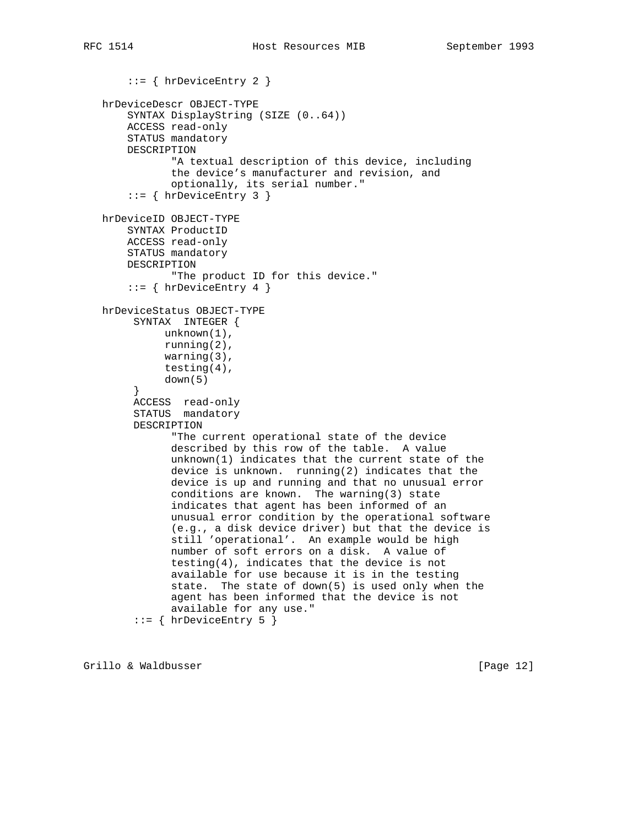```
 ::= { hrDeviceEntry 2 }
 hrDeviceDescr OBJECT-TYPE
     SYNTAX DisplayString (SIZE (0..64))
     ACCESS read-only
     STATUS mandatory
     DESCRIPTION
            "A textual description of this device, including
            the device's manufacturer and revision, and
            optionally, its serial number."
     ::= { hrDeviceEntry 3 }
 hrDeviceID OBJECT-TYPE
    SYNTAX ProductID
     ACCESS read-only
     STATUS mandatory
     DESCRIPTION
            "The product ID for this device."
     ::= { hrDeviceEntry 4 }
 hrDeviceStatus OBJECT-TYPE
      SYNTAX INTEGER {
           unknown(1),
           running(2),
           warning(3),
           testing(4),
           down(5)
      }
      ACCESS read-only
      STATUS mandatory
      DESCRIPTION
            "The current operational state of the device
            described by this row of the table. A value
            unknown(1) indicates that the current state of the
            device is unknown. running(2) indicates that the
            device is up and running and that no unusual error
            conditions are known. The warning(3) state
            indicates that agent has been informed of an
            unusual error condition by the operational software
            (e.g., a disk device driver) but that the device is
            still 'operational'. An example would be high
            number of soft errors on a disk. A value of
            testing(4), indicates that the device is not
            available for use because it is in the testing
            state. The state of down(5) is used only when the
            agent has been informed that the device is not
            available for any use."
      ::= { hrDeviceEntry 5 }
```
Grillo & Waldbusser [Page 12]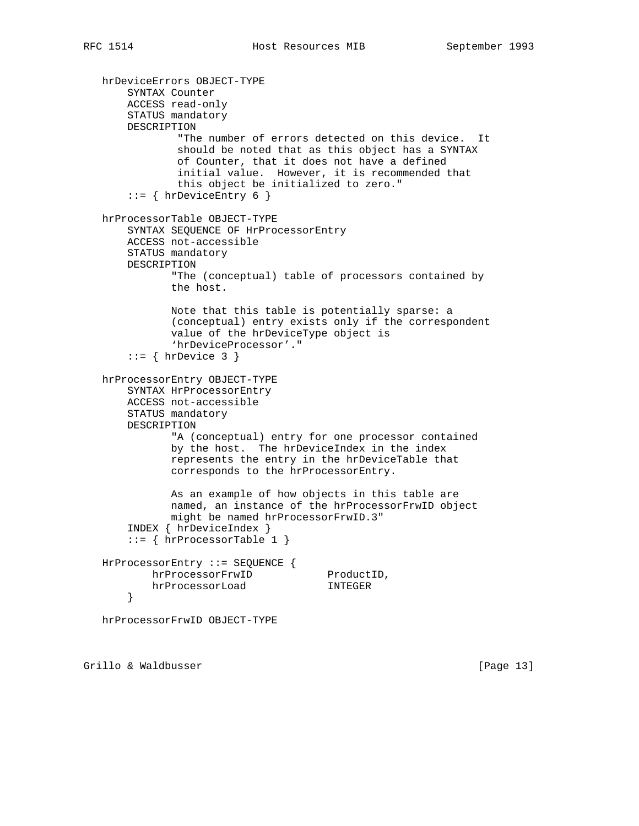```
 hrDeviceErrors OBJECT-TYPE
     SYNTAX Counter
     ACCESS read-only
     STATUS mandatory
     DESCRIPTION
             "The number of errors detected on this device. It
             should be noted that as this object has a SYNTAX
             of Counter, that it does not have a defined
             initial value. However, it is recommended that
             this object be initialized to zero."
    ::= { hrDeviceEntry 6 }
 hrProcessorTable OBJECT-TYPE
     SYNTAX SEQUENCE OF HrProcessorEntry
     ACCESS not-accessible
     STATUS mandatory
     DESCRIPTION
            "The (conceptual) table of processors contained by
            the host.
            Note that this table is potentially sparse: a
            (conceptual) entry exists only if the correspondent
            value of the hrDeviceType object is
            'hrDeviceProcessor'."
    ::= { hrDevice 3 }
 hrProcessorEntry OBJECT-TYPE
     SYNTAX HrProcessorEntry
     ACCESS not-accessible
     STATUS mandatory
     DESCRIPTION
            "A (conceptual) entry for one processor contained
            by the host. The hrDeviceIndex in the index
            represents the entry in the hrDeviceTable that
            corresponds to the hrProcessorEntry.
            As an example of how objects in this table are
            named, an instance of the hrProcessorFrwID object
            might be named hrProcessorFrwID.3"
     INDEX { hrDeviceIndex }
     ::= { hrProcessorTable 1 }
 HrProcessorEntry ::= SEQUENCE {
       hrProcessorFrwID ProductID,
         hrProcessorLoad INTEGER
     }
 hrProcessorFrwID OBJECT-TYPE
```
Grillo & Waldbusser [Page 13]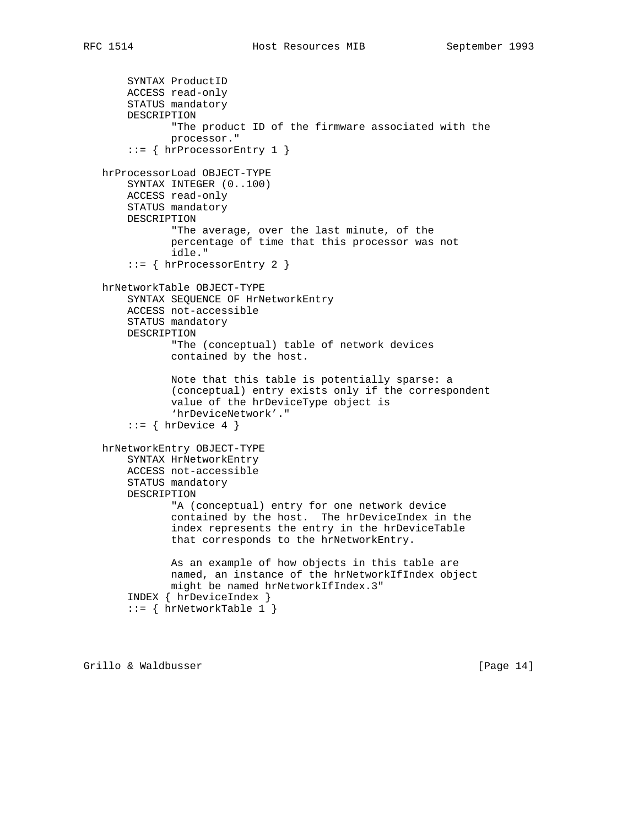```
 SYNTAX ProductID
     ACCESS read-only
     STATUS mandatory
     DESCRIPTION
            "The product ID of the firmware associated with the
            processor."
     ::= { hrProcessorEntry 1 }
 hrProcessorLoad OBJECT-TYPE
     SYNTAX INTEGER (0..100)
     ACCESS read-only
     STATUS mandatory
     DESCRIPTION
            "The average, over the last minute, of the
            percentage of time that this processor was not
            idle."
    ::= { hrProcessorEntry 2 }
 hrNetworkTable OBJECT-TYPE
     SYNTAX SEQUENCE OF HrNetworkEntry
     ACCESS not-accessible
     STATUS mandatory
     DESCRIPTION
            "The (conceptual) table of network devices
            contained by the host.
            Note that this table is potentially sparse: a
            (conceptual) entry exists only if the correspondent
            value of the hrDeviceType object is
            'hrDeviceNetwork'."
    ::= { hrDevice 4 }
 hrNetworkEntry OBJECT-TYPE
     SYNTAX HrNetworkEntry
     ACCESS not-accessible
     STATUS mandatory
     DESCRIPTION
            "A (conceptual) entry for one network device
            contained by the host. The hrDeviceIndex in the
            index represents the entry in the hrDeviceTable
            that corresponds to the hrNetworkEntry.
            As an example of how objects in this table are
            named, an instance of the hrNetworkIfIndex object
            might be named hrNetworkIfIndex.3"
     INDEX { hrDeviceIndex }
     ::= { hrNetworkTable 1 }
```
Grillo & Waldbusser [Page 14]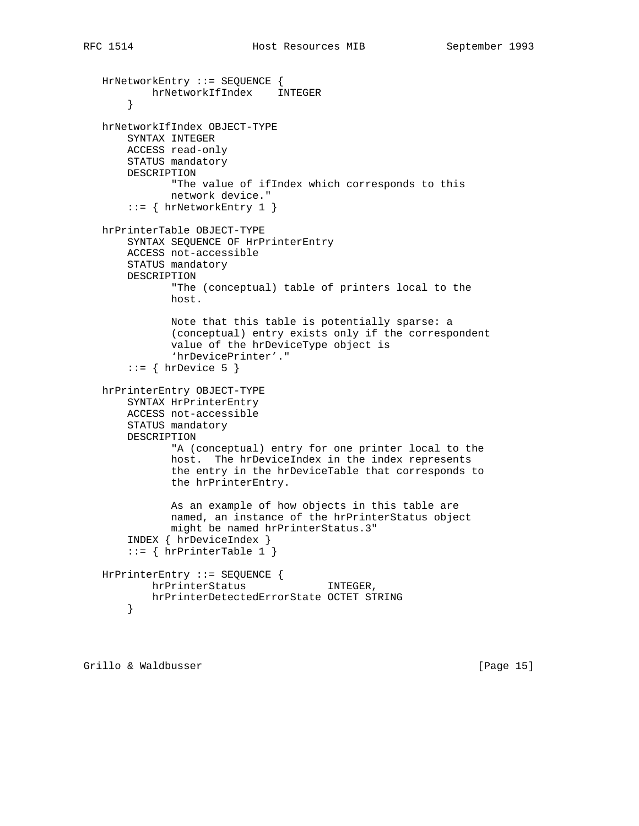```
 HrNetworkEntry ::= SEQUENCE {
         hrNetworkIfIndex INTEGER
     }
 hrNetworkIfIndex OBJECT-TYPE
     SYNTAX INTEGER
     ACCESS read-only
     STATUS mandatory
     DESCRIPTION
            "The value of ifIndex which corresponds to this
           network device."
     ::= { hrNetworkEntry 1 }
 hrPrinterTable OBJECT-TYPE
     SYNTAX SEQUENCE OF HrPrinterEntry
     ACCESS not-accessible
     STATUS mandatory
     DESCRIPTION
            "The (conceptual) table of printers local to the
            host.
            Note that this table is potentially sparse: a
            (conceptual) entry exists only if the correspondent
            value of the hrDeviceType object is
            'hrDevicePrinter'."
    ::= { hrDevice 5 }
 hrPrinterEntry OBJECT-TYPE
     SYNTAX HrPrinterEntry
     ACCESS not-accessible
     STATUS mandatory
     DESCRIPTION
            "A (conceptual) entry for one printer local to the
            host. The hrDeviceIndex in the index represents
            the entry in the hrDeviceTable that corresponds to
            the hrPrinterEntry.
            As an example of how objects in this table are
            named, an instance of the hrPrinterStatus object
            might be named hrPrinterStatus.3"
     INDEX { hrDeviceIndex }
     ::= { hrPrinterTable 1 }
 HrPrinterEntry ::= SEQUENCE {
        hrPrinterStatus INTEGER,
         hrPrinterDetectedErrorState OCTET STRING
     }
```
Grillo & Waldbusser [Page 15]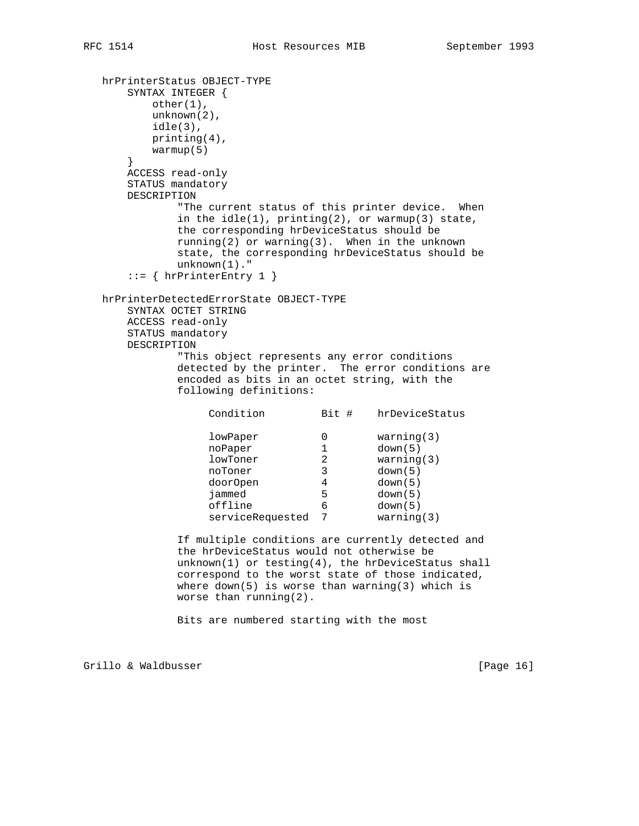```
 hrPrinterStatus OBJECT-TYPE
      SYNTAX INTEGER {
          other(1),
         unknown(2),
         idle(3),
         printing(4),
         warmup(5)
      }
      ACCESS read-only
      STATUS mandatory
      DESCRIPTION
             "The current status of this printer device. When
            in the idle(1), primitive(2), or warmup(3) state,
             the corresponding hrDeviceStatus should be
             running(2) or warning(3). When in the unknown
             state, the corresponding hrDeviceStatus should be
             unknown(1)."
      ::= { hrPrinterEntry 1 }
   hrPrinterDetectedErrorState OBJECT-TYPE
      SYNTAX OCTET STRING
      ACCESS read-only
      STATUS mandatory
      DESCRIPTION
             "This object represents any error conditions
             detected by the printer. The error conditions are
             encoded as bits in an octet string, with the
             following definitions:
                 Condition Bit # hrDeviceStatus
                 lowPaper 0 warning(3)
noPaper 1 down(5)
 lowToner 2 warning(3)
 noToner 3 down(5)
 doorOpen 4 down(5)
 jammed 5 down(5)
 offline 6 down(5)
serviceRequested 7 warning(3)
             If multiple conditions are currently detected and
             the hrDeviceStatus would not otherwise be
             unknown(1) or testing(4), the hrDeviceStatus shall
             correspond to the worst state of those indicated,
            where down(5) is worse than warning(3) which is
             worse than running(2).
             Bits are numbered starting with the most
```
Grillo & Waldbusser [Page 16]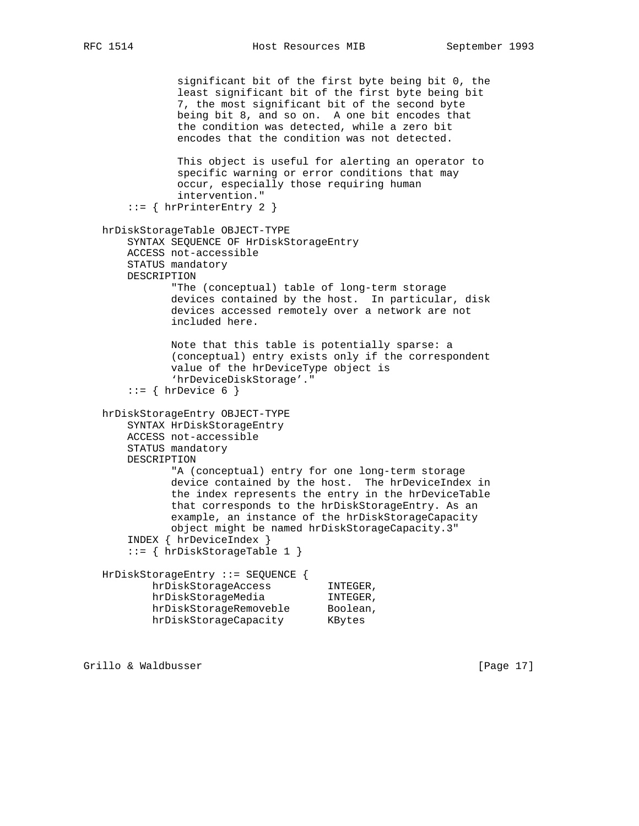```
 significant bit of the first byte being bit 0, the
                least significant bit of the first byte being bit
                7, the most significant bit of the second byte
                being bit 8, and so on. A one bit encodes that
                the condition was detected, while a zero bit
                encodes that the condition was not detected.
               This object is useful for alerting an operator to
                specific warning or error conditions that may
                occur, especially those requiring human
               intervention."
        ::= { hrPrinterEntry 2 }
   hrDiskStorageTable OBJECT-TYPE
       SYNTAX SEQUENCE OF HrDiskStorageEntry
       ACCESS not-accessible
       STATUS mandatory
       DESCRIPTION
              "The (conceptual) table of long-term storage
              devices contained by the host. In particular, disk
              devices accessed remotely over a network are not
              included here.
              Note that this table is potentially sparse: a
              (conceptual) entry exists only if the correspondent
              value of the hrDeviceType object is
              'hrDeviceDiskStorage'."
       ::= { hrDevice 6 }
   hrDiskStorageEntry OBJECT-TYPE
       SYNTAX HrDiskStorageEntry
       ACCESS not-accessible
       STATUS mandatory
       DESCRIPTION
               "A (conceptual) entry for one long-term storage
              device contained by the host. The hrDeviceIndex in
              the index represents the entry in the hrDeviceTable
              that corresponds to the hrDiskStorageEntry. As an
              example, an instance of the hrDiskStorageCapacity
              object might be named hrDiskStorageCapacity.3"
        INDEX { hrDeviceIndex }
        ::= { hrDiskStorageTable 1 }
   HrDiskStorageEntry ::= SEQUENCE {
          hrDiskStorageAccess INTEGER,<br>hrDiskStorageMedia INTEGER,
 hrDiskStorageMedia INTEGER,
hrDiskStorageRemoveble Boolean,
 hrDiskStorageCapacity KBytes
```
Grillo & Waldbusser [Page 17]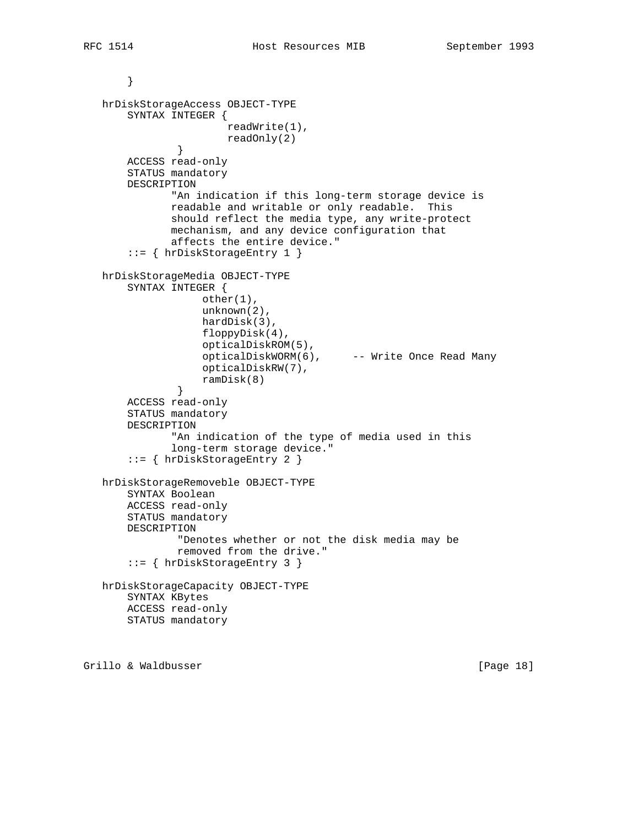```
 hrDiskStorageAccess OBJECT-TYPE
       SYNTAX INTEGER {
                        readWrite(1),
                       readOnly(2)
               }
       ACCESS read-only
       STATUS mandatory
       DESCRIPTION
               "An indication if this long-term storage device is
               readable and writable or only readable. This
               should reflect the media type, any write-protect
               mechanism, and any device configuration that
               affects the entire device."
        ::= { hrDiskStorageEntry 1 }
   hrDiskStorageMedia OBJECT-TYPE
       SYNTAX INTEGER {
                   other(1),
                    unknown(2),
                    hardDisk(3),
                    floppyDisk(4),
                    opticalDiskROM(5),
                   opticalDiskWORM(6), -- Write Once Read Many
                    opticalDiskRW(7),
                    ramDisk(8)
 }
       ACCESS read-only
       STATUS mandatory
       DESCRIPTION
               "An indication of the type of media used in this
               long-term storage device."
        ::= { hrDiskStorageEntry 2 }
   hrDiskStorageRemoveble OBJECT-TYPE
       SYNTAX Boolean
       ACCESS read-only
       STATUS mandatory
       DESCRIPTION
                "Denotes whether or not the disk media may be
                removed from the drive."
        ::= { hrDiskStorageEntry 3 }
   hrDiskStorageCapacity OBJECT-TYPE
       SYNTAX KBytes
       ACCESS read-only
       STATUS mandatory
```
Grillo & Waldbusser [Page 18]

}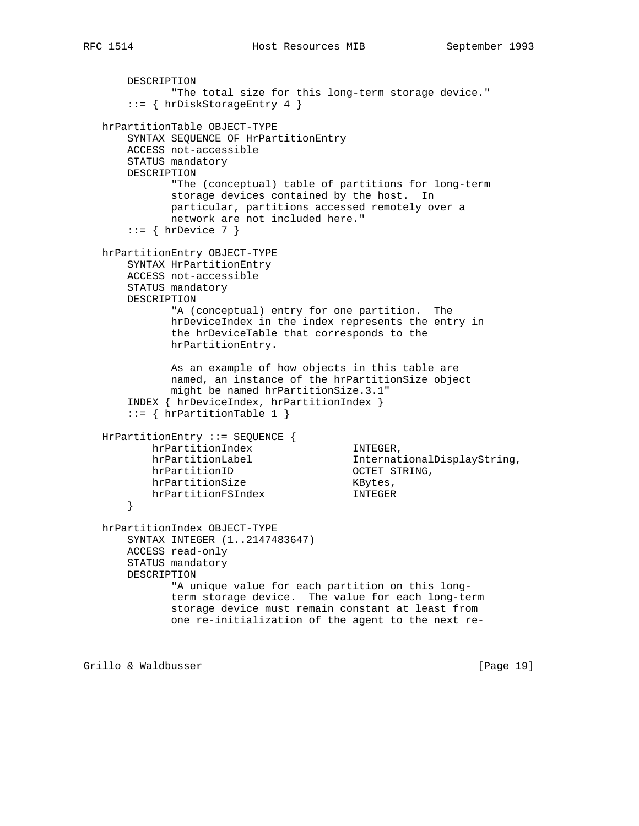```
RFC 1514 Host Resources MIB September 1993
```
DESCRIPTION

```
 "The total size for this long-term storage device."
       ::= { hrDiskStorageEntry 4 }
   hrPartitionTable OBJECT-TYPE
       SYNTAX SEQUENCE OF HrPartitionEntry
       ACCESS not-accessible
       STATUS mandatory
       DESCRIPTION
              "The (conceptual) table of partitions for long-term
              storage devices contained by the host. In
              particular, partitions accessed remotely over a
              network are not included here."
      ::= { hrDevice 7 }
   hrPartitionEntry OBJECT-TYPE
       SYNTAX HrPartitionEntry
       ACCESS not-accessible
       STATUS mandatory
       DESCRIPTION
              "A (conceptual) entry for one partition. The
              hrDeviceIndex in the index represents the entry in
              the hrDeviceTable that corresponds to the
              hrPartitionEntry.
              As an example of how objects in this table are
              named, an instance of the hrPartitionSize object
              might be named hrPartitionSize.3.1"
       INDEX { hrDeviceIndex, hrPartitionIndex }
       ::= { hrPartitionTable 1 }
   HrPartitionEntry ::= SEQUENCE {
          hrPartitionIndex INTEGER,
          hrPartitionLabel InternationalDisplayString,
hrPartitionID 0CTET STRING,
hrPartitionSize KBytes,
          hrPartitionFSIndex INTEGER
       }
   hrPartitionIndex OBJECT-TYPE
       SYNTAX INTEGER (1..2147483647)
       ACCESS read-only
       STATUS mandatory
       DESCRIPTION
              "A unique value for each partition on this long-
              term storage device. The value for each long-term
              storage device must remain constant at least from
              one re-initialization of the agent to the next re-
```
Grillo & Waldbusser [Page 19]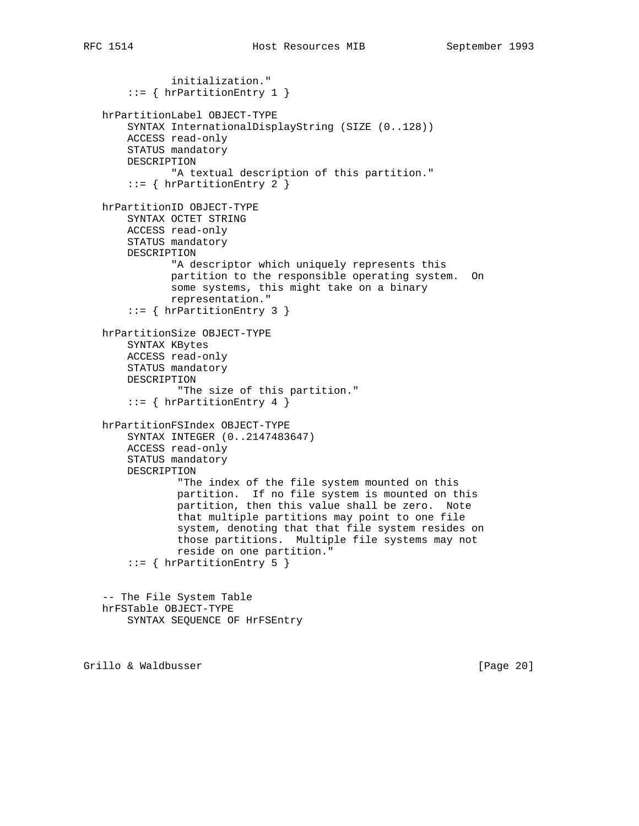```
 initialization."
     ::= { hrPartitionEntry 1 }
 hrPartitionLabel OBJECT-TYPE
     SYNTAX InternationalDisplayString (SIZE (0..128))
     ACCESS read-only
     STATUS mandatory
     DESCRIPTION
            "A textual description of this partition."
     ::= { hrPartitionEntry 2 }
 hrPartitionID OBJECT-TYPE
     SYNTAX OCTET STRING
     ACCESS read-only
     STATUS mandatory
     DESCRIPTION
            "A descriptor which uniquely represents this
            partition to the responsible operating system. On
            some systems, this might take on a binary
            representation."
     ::= { hrPartitionEntry 3 }
 hrPartitionSize OBJECT-TYPE
     SYNTAX KBytes
     ACCESS read-only
     STATUS mandatory
     DESCRIPTION
             "The size of this partition."
    ::= { hrPartitionEntry 4 }
 hrPartitionFSIndex OBJECT-TYPE
     SYNTAX INTEGER (0..2147483647)
     ACCESS read-only
     STATUS mandatory
     DESCRIPTION
             "The index of the file system mounted on this
             partition. If no file system is mounted on this
             partition, then this value shall be zero. Note
             that multiple partitions may point to one file
             system, denoting that that file system resides on
             those partitions. Multiple file systems may not
             reside on one partition."
     ::= { hrPartitionEntry 5 }
 -- The File System Table
 hrFSTable OBJECT-TYPE
     SYNTAX SEQUENCE OF HrFSEntry
```
Grillo & Waldbusser **and Europe Community** [Page 20]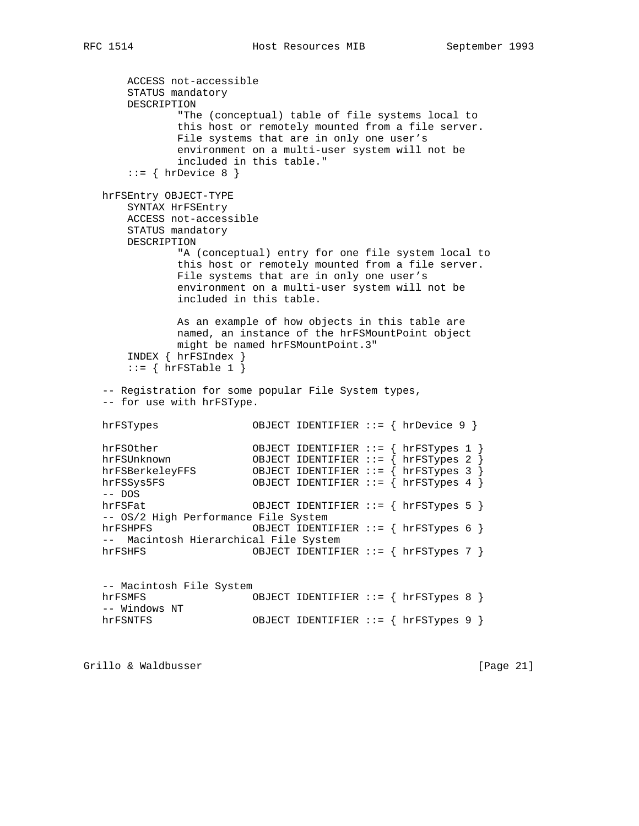```
 ACCESS not-accessible
       STATUS mandatory
       DESCRIPTION
               "The (conceptual) table of file systems local to
              this host or remotely mounted from a file server.
              File systems that are in only one user's
              environment on a multi-user system will not be
              included in this table."
      ::= { hrDevice 8 }
   hrFSEntry OBJECT-TYPE
       SYNTAX HrFSEntry
       ACCESS not-accessible
       STATUS mandatory
       DESCRIPTION
              "A (conceptual) entry for one file system local to
              this host or remotely mounted from a file server.
              File systems that are in only one user's
              environment on a multi-user system will not be
              included in this table.
              As an example of how objects in this table are
              named, an instance of the hrFSMountPoint object
              might be named hrFSMountPoint.3"
       INDEX { hrFSIndex }
      ::= { hrFSTable 1 }
   -- Registration for some popular File System types,
   -- for use with hrFSType.
  hrFSTypes 0BJECT IDENTIFIER ::= { hrDevice 9 }
   hrFSOther OBJECT IDENTIFIER ::= { hrFSTypes 1 }
 hrFSUnknown OBJECT IDENTIFIER ::= { hrFSTypes 2 }
 hrFSBerkeleyFFS OBJECT IDENTIFIER ::= { hrFSTypes 3 }
 hrFSSys5FS OBJECT IDENTIFIER ::= { hrFSTypes 4 }
   -- DOS
   hrFSFat OBJECT IDENTIFIER ::= { hrFSTypes 5 }
   -- OS/2 High Performance File System
   hrFSHPFS OBJECT IDENTIFIER ::= { hrFSTypes 6 }
   -- Macintosh Hierarchical File System
  hrFSHFS OBJECT IDENTIFIER ::= { hrFSTypes 7 }
   -- Macintosh File System
  hrFSMFS OBJECT IDENTIFIER ::= { hrFSTypes 8 }
   -- Windows NT
  hrFSNTFS OBJECT IDENTIFIER ::= { hrFSTypes 9 }
```
Grillo & Waldbusser [Page 21]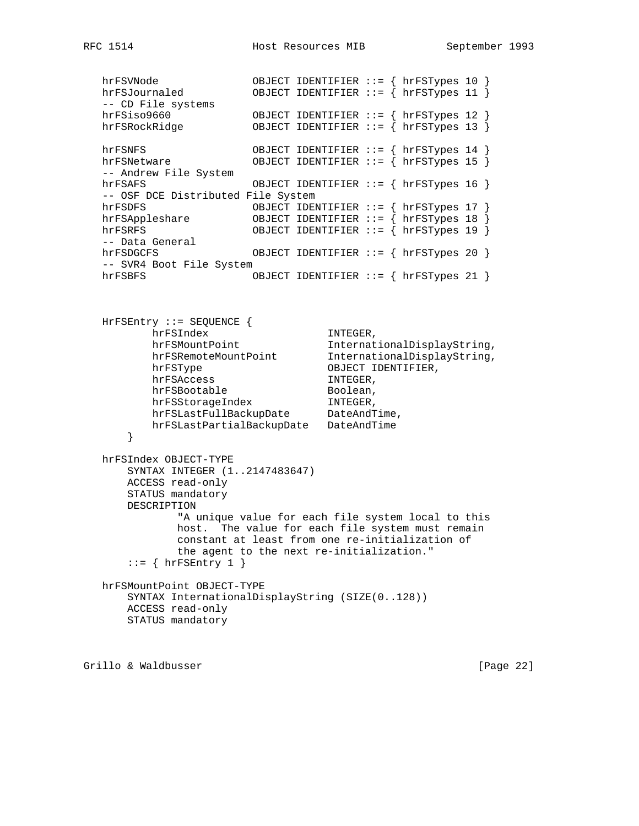hrFSVNode OBJECT IDENTIFIER ::= { hrFSTypes 10 } hrFSJournaled OBJECT IDENTIFIER ::= { hrFSTypes 11 } -- CD File systems hrFSiso9660 OBJECT IDENTIFIER ::= { hrFSTypes 12 } hrFSRockRidge OBJECT IDENTIFIER ::= { hrFSTypes 13 } hrFSNFS OBJECT IDENTIFIER ::= { hrFSTypes 14 } hrFSNetware OBJECT IDENTIFIER ::= { hrFSTypes 15 } -- Andrew File System hrFSAFS OBJECT IDENTIFIER ::= { hrFSTypes 16 } -- OSF DCE Distributed File System hrFSDFS OBJECT IDENTIFIER ::= { hrFSTypes 17 } hrFSAppleshare OBJECT IDENTIFIER ::= { hrFSTypes 18 } hrFSRFS OBJECT IDENTIFIER ::= { hrFSTypes 19 } -- Data General hrFSDGCFS OBJECT IDENTIFIER ::= { hrFSTypes 20 } -- SVR4 Boot File System hrFSBFS OBJECT IDENTIFIER ::= { hrFSTypes 21 } HrFSEntry ::= SEQUENCE { hrFSIndex INTEGER, hrFSMountPoint InternationalDisplayString, hrFSRemoteMountPoint InternationalDisplayString, hrFSType OBJECT IDENTIFIER, hrFSAccess INTEGER, hrFSBootable Boolean, hrFSStorageIndex INTEGER, hrFSLastFullBackupDate DateAndTime, hrFSLastPartialBackupDate DateAndTime } hrFSIndex OBJECT-TYPE SYNTAX INTEGER (1..2147483647) ACCESS read-only STATUS mandatory DESCRIPTION "A unique value for each file system local to this host. The value for each file system must remain constant at least from one re-initialization of the agent to the next re-initialization."  $::=$  { hrFSEntry 1 } hrFSMountPoint OBJECT-TYPE SYNTAX InternationalDisplayString (SIZE(0..128)) ACCESS read-only STATUS mandatory

Grillo & Waldbusser [Page 22]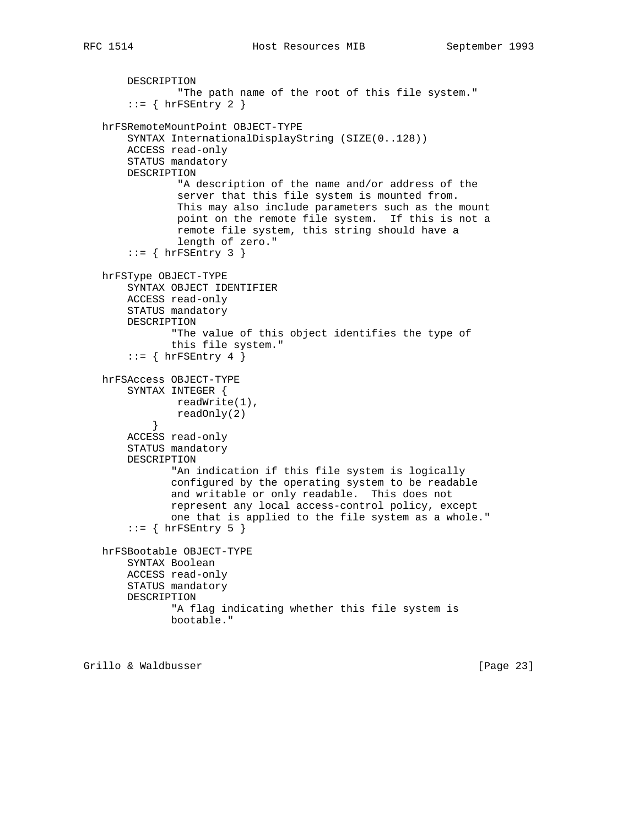```
 DESCRIPTION
                "The path name of the root of this file system."
       ::= { hrFSEntry 2 }
   hrFSRemoteMountPoint OBJECT-TYPE
       SYNTAX InternationalDisplayString (SIZE(0..128))
       ACCESS read-only
       STATUS mandatory
       DESCRIPTION
                "A description of the name and/or address of the
                server that this file system is mounted from.
                This may also include parameters such as the mount
                point on the remote file system. If this is not a
                remote file system, this string should have a
                length of zero."
       ::= { hrFSEntry 3 }
   hrFSType OBJECT-TYPE
       SYNTAX OBJECT IDENTIFIER
       ACCESS read-only
       STATUS mandatory
       DESCRIPTION
               "The value of this object identifies the type of
               this file system."
       ::= { hrFSEntry 4 }
   hrFSAccess OBJECT-TYPE
        SYNTAX INTEGER {
               readWrite(1),
           readOnly(2)<br>}
 }
       ACCESS read-only
       STATUS mandatory
       DESCRIPTION
               "An indication if this file system is logically
               configured by the operating system to be readable
               and writable or only readable. This does not
               represent any local access-control policy, except
               one that is applied to the file system as a whole."
       ::= { hrFSEntry 5 }
   hrFSBootable OBJECT-TYPE
       SYNTAX Boolean
       ACCESS read-only
       STATUS mandatory
       DESCRIPTION
               "A flag indicating whether this file system is
               bootable."
```
Grillo & Waldbusser [Page 23]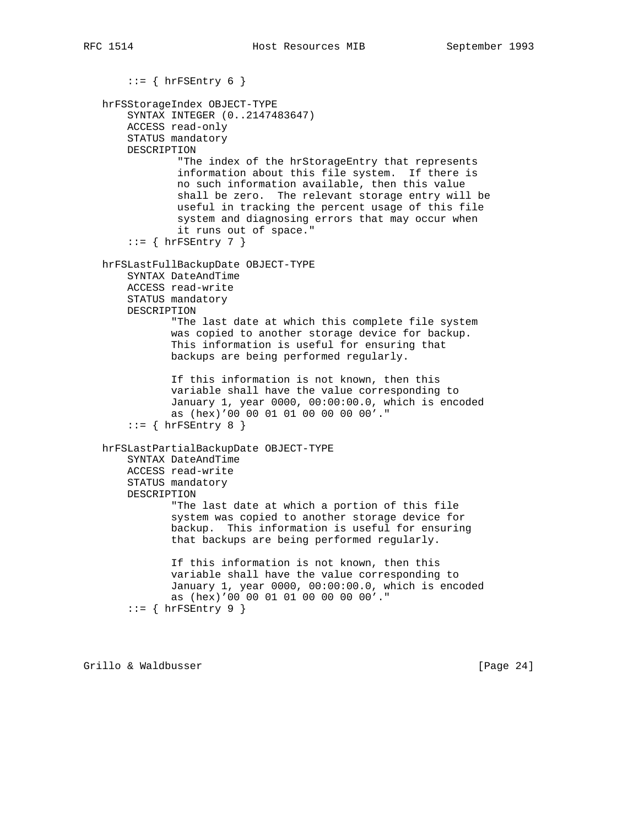```
::= { hrFSEntry 6 }
 hrFSStorageIndex OBJECT-TYPE
     SYNTAX INTEGER (0..2147483647)
     ACCESS read-only
     STATUS mandatory
     DESCRIPTION
             "The index of the hrStorageEntry that represents
             information about this file system. If there is
             no such information available, then this value
             shall be zero. The relevant storage entry will be
             useful in tracking the percent usage of this file
             system and diagnosing errors that may occur when
             it runs out of space."
    ::= { hrFSEntry 7 }
 hrFSLastFullBackupDate OBJECT-TYPE
     SYNTAX DateAndTime
     ACCESS read-write
     STATUS mandatory
     DESCRIPTION
            "The last date at which this complete file system
            was copied to another storage device for backup.
            This information is useful for ensuring that
            backups are being performed regularly.
            If this information is not known, then this
            variable shall have the value corresponding to
            January 1, year 0000, 00:00:00.0, which is encoded
            as (hex)'00 00 01 01 00 00 00 00'."
    ::= { hrFSEntry 8 }
 hrFSLastPartialBackupDate OBJECT-TYPE
     SYNTAX DateAndTime
     ACCESS read-write
     STATUS mandatory
     DESCRIPTION
            "The last date at which a portion of this file
            system was copied to another storage device for
            backup. This information is useful for ensuring
            that backups are being performed regularly.
            If this information is not known, then this
            variable shall have the value corresponding to
            January 1, year 0000, 00:00:00.0, which is encoded
            as (hex)'00 00 01 01 00 00 00 00'."
    ::= { hrFSEntry 9 }
```
Grillo & Waldbusser [Page 24]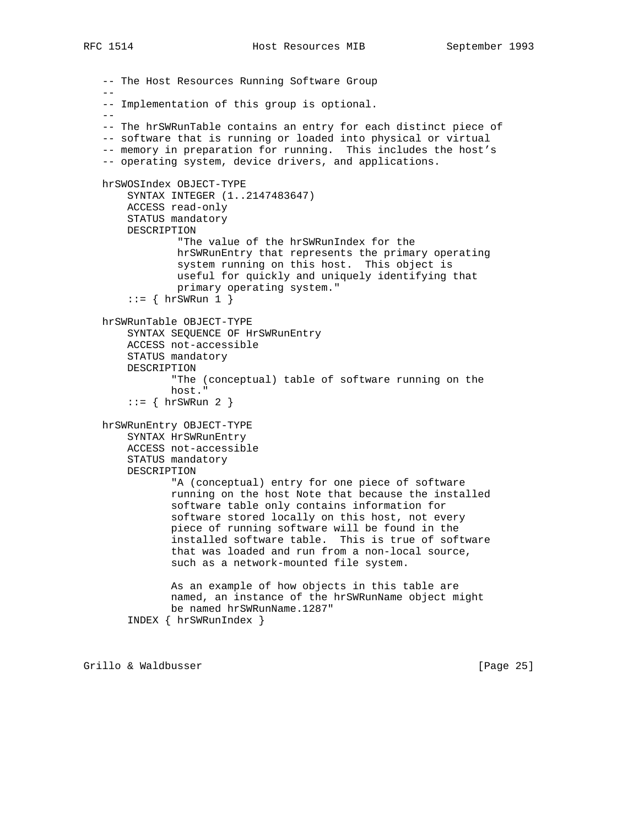```
 -- The Host Resources Running Software Group
 --
   -- Implementation of this group is optional.
  - -- The hrSWRunTable contains an entry for each distinct piece of
   -- software that is running or loaded into physical or virtual
   -- memory in preparation for running. This includes the host's
   -- operating system, device drivers, and applications.
   hrSWOSIndex OBJECT-TYPE
       SYNTAX INTEGER (1..2147483647)
       ACCESS read-only
       STATUS mandatory
       DESCRIPTION
                "The value of the hrSWRunIndex for the
                hrSWRunEntry that represents the primary operating
                system running on this host. This object is
                useful for quickly and uniquely identifying that
                primary operating system."
       ::= { hrSWRun 1 }
   hrSWRunTable OBJECT-TYPE
       SYNTAX SEQUENCE OF HrSWRunEntry
       ACCESS not-accessible
       STATUS mandatory
       DESCRIPTION
               "The (conceptual) table of software running on the
               host."
       ::= { hrSWRun 2 }
   hrSWRunEntry OBJECT-TYPE
       SYNTAX HrSWRunEntry
       ACCESS not-accessible
       STATUS mandatory
       DESCRIPTION
               "A (conceptual) entry for one piece of software
               running on the host Note that because the installed
               software table only contains information for
               software stored locally on this host, not every
               piece of running software will be found in the
               installed software table. This is true of software
               that was loaded and run from a non-local source,
               such as a network-mounted file system.
               As an example of how objects in this table are
               named, an instance of the hrSWRunName object might
              be named hrSWRunName.1287"
        INDEX { hrSWRunIndex }
```
Grillo & Waldbusser [Page 25]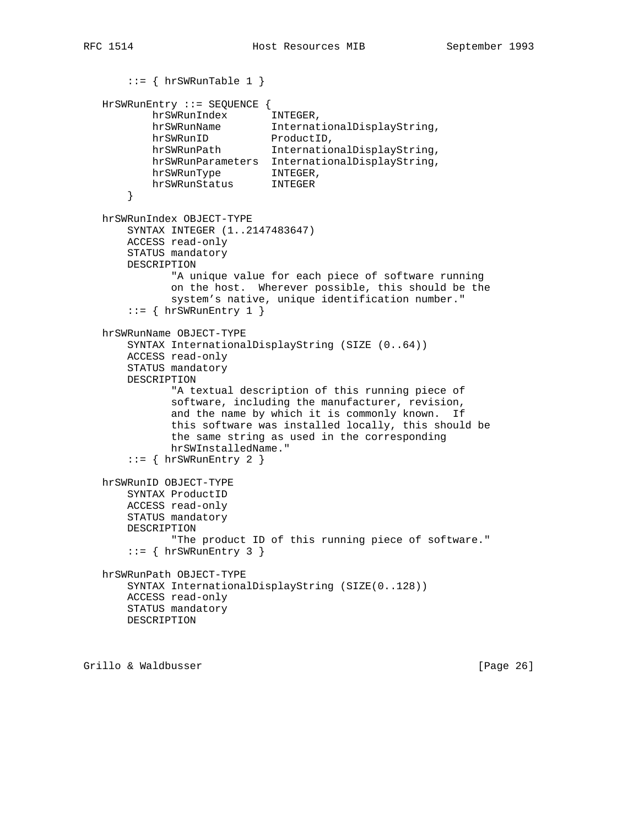```
::= { hrSWRunTable 1 }
   HrSWRunEntry ::= SEQUENCE {
          hrSWRunIndex INTEGER,<br>hrSWRunName Internat
                            InternationalDisplayString,
hrSWRunID ProductID,
 hrSWRunPath InternationalDisplayString,
           hrSWRunParameters InternationalDisplayString,
 hrSWRunType INTEGER,
 hrSWRunStatus INTEGER
       }
   hrSWRunIndex OBJECT-TYPE
       SYNTAX INTEGER (1..2147483647)
       ACCESS read-only
       STATUS mandatory
       DESCRIPTION
              "A unique value for each piece of software running
              on the host. Wherever possible, this should be the
              system's native, unique identification number."
      ::= { hrSWRunEntry 1 }
   hrSWRunName OBJECT-TYPE
       SYNTAX InternationalDisplayString (SIZE (0..64))
       ACCESS read-only
       STATUS mandatory
       DESCRIPTION
              "A textual description of this running piece of
              software, including the manufacturer, revision,
              and the name by which it is commonly known. If
              this software was installed locally, this should be
              the same string as used in the corresponding
              hrSWInstalledName."
      ::= { hrSWRunEntry 2 }
   hrSWRunID OBJECT-TYPE
       SYNTAX ProductID
       ACCESS read-only
       STATUS mandatory
       DESCRIPTION
              "The product ID of this running piece of software."
      ::= { hrSWRunEntry 3 }
   hrSWRunPath OBJECT-TYPE
       SYNTAX InternationalDisplayString (SIZE(0..128))
       ACCESS read-only
       STATUS mandatory
       DESCRIPTION
```
Grillo & Waldbusser [Page 26]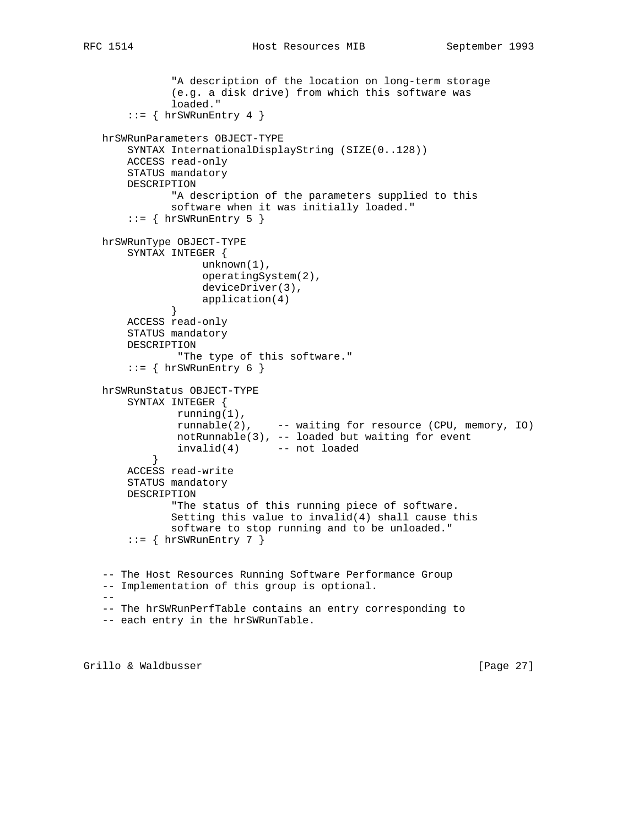```
 "A description of the location on long-term storage
               (e.g. a disk drive) from which this software was
              loaded."
        ::= { hrSWRunEntry 4 }
   hrSWRunParameters OBJECT-TYPE
       SYNTAX InternationalDisplayString (SIZE(0..128))
       ACCESS read-only
       STATUS mandatory
       DESCRIPTION
               "A description of the parameters supplied to this
              software when it was initially loaded."
       ::= { hrSWRunEntry 5 }
   hrSWRunType OBJECT-TYPE
       SYNTAX INTEGER {
                   unknown(1),
                    operatingSystem(2),
                   deviceDriver(3),
             application(4)<br>}
 }
       ACCESS read-only
       STATUS mandatory
       DESCRIPTION
                "The type of this software."
       ::= { hrSWRunEntry 6 }
   hrSWRunStatus OBJECT-TYPE
       SYNTAX INTEGER {
               running(1),
               runnable(2), -- waiting for resource (CPU, memory, IO)
               notRunnable(3), -- loaded but waiting for event
               invalid(4) -- not loaded
 }
       ACCESS read-write
       STATUS mandatory
       DESCRIPTION
              "The status of this running piece of software.
              Setting this value to invalid(4) shall cause this
              software to stop running and to be unloaded."
       ::= { hrSWRunEntry 7 }
   -- The Host Resources Running Software Performance Group
   -- Implementation of this group is optional.
  - -- The hrSWRunPerfTable contains an entry corresponding to
   -- each entry in the hrSWRunTable.
```
Grillo & Waldbusser [Page 27]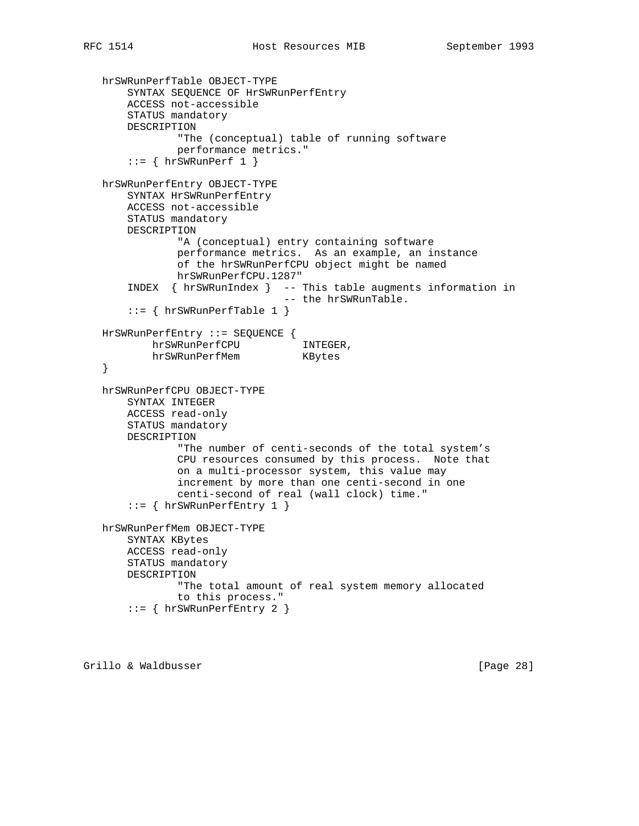```
 hrSWRunPerfTable OBJECT-TYPE
     SYNTAX SEQUENCE OF HrSWRunPerfEntry
     ACCESS not-accessible
     STATUS mandatory
     DESCRIPTION
             "The (conceptual) table of running software
             performance metrics."
    ::= \{ hrsWRunPerf 1 \} hrSWRunPerfEntry OBJECT-TYPE
     SYNTAX HrSWRunPerfEntry
     ACCESS not-accessible
     STATUS mandatory
     DESCRIPTION
             "A (conceptual) entry containing software
             performance metrics. As an example, an instance
             of the hrSWRunPerfCPU object might be named
             hrSWRunPerfCPU.1287"
     INDEX { hrSWRunIndex } -- This table augments information in
                              -- the hrSWRunTable.
     ::= { hrSWRunPerfTable 1 }
 HrSWRunPerfEntry ::= SEQUENCE {
         hrSWRunPerfCPU INTEGER,
         hrSWRunPerfMem KBytes
 }
 hrSWRunPerfCPU OBJECT-TYPE
     SYNTAX INTEGER
     ACCESS read-only
     STATUS mandatory
     DESCRIPTION
             "The number of centi-seconds of the total system's
             CPU resources consumed by this process. Note that
             on a multi-processor system, this value may
             increment by more than one centi-second in one
             centi-second of real (wall clock) time."
     ::= { hrSWRunPerfEntry 1 }
 hrSWRunPerfMem OBJECT-TYPE
     SYNTAX KBytes
     ACCESS read-only
     STATUS mandatory
     DESCRIPTION
             "The total amount of real system memory allocated
             to this process."
     ::= { hrSWRunPerfEntry 2 }
```
Grillo & Waldbusser [Page 28]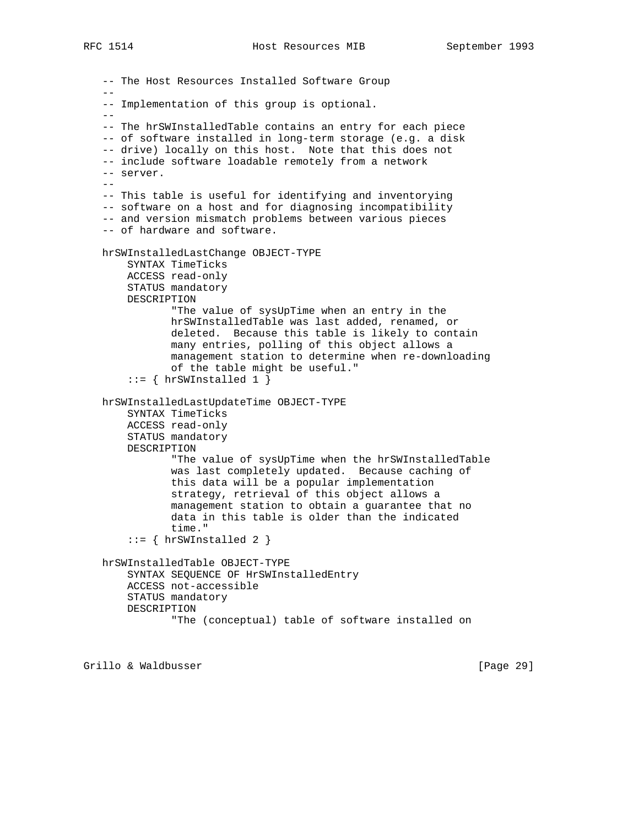-- The Host Resources Installed Software Group -- -- Implementation of this group is optional.  $-$  -- The hrSWInstalledTable contains an entry for each piece -- of software installed in long-term storage (e.g. a disk -- drive) locally on this host. Note that this does not -- include software loadable remotely from a network -- server.  $-$  -- This table is useful for identifying and inventorying -- software on a host and for diagnosing incompatibility -- and version mismatch problems between various pieces -- of hardware and software. hrSWInstalledLastChange OBJECT-TYPE SYNTAX TimeTicks ACCESS read-only STATUS mandatory DESCRIPTION "The value of sysUpTime when an entry in the hrSWInstalledTable was last added, renamed, or deleted. Because this table is likely to contain many entries, polling of this object allows a management station to determine when re-downloading of the table might be useful."  $::=$  { hrSWInstalled 1 } hrSWInstalledLastUpdateTime OBJECT-TYPE SYNTAX TimeTicks ACCESS read-only STATUS mandatory DESCRIPTION "The value of sysUpTime when the hrSWInstalledTable was last completely updated. Because caching of this data will be a popular implementation strategy, retrieval of this object allows a management station to obtain a guarantee that no data in this table is older than the indicated time."  $::= \{ hrSWInsteadled 2 \}$  hrSWInstalledTable OBJECT-TYPE SYNTAX SEQUENCE OF HrSWInstalledEntry ACCESS not-accessible STATUS mandatory DESCRIPTION "The (conceptual) table of software installed on

Grillo & Waldbusser [Page 29]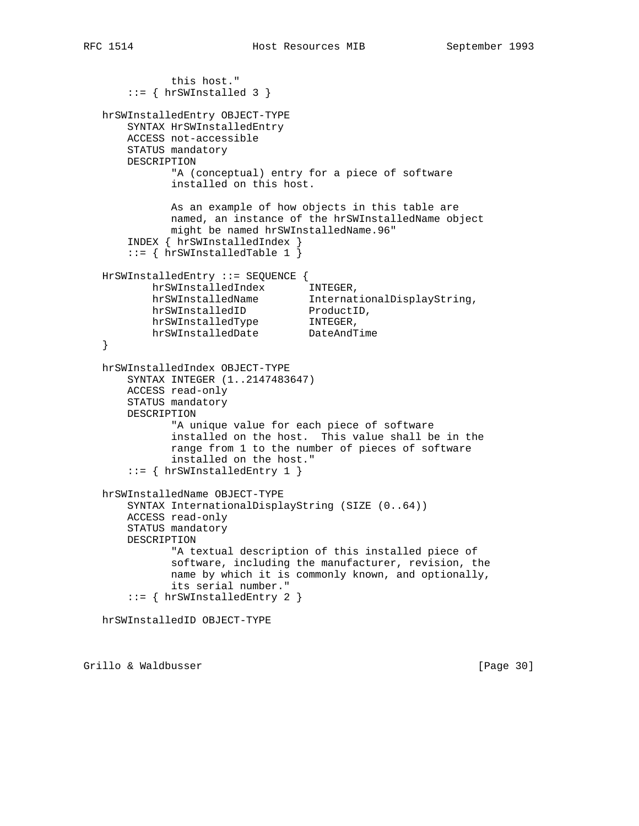```
 this host."
       ::= { hrSWInstalled 3 }
   hrSWInstalledEntry OBJECT-TYPE
       SYNTAX HrSWInstalledEntry
       ACCESS not-accessible
       STATUS mandatory
       DESCRIPTION
              "A (conceptual) entry for a piece of software
              installed on this host.
              As an example of how objects in this table are
              named, an instance of the hrSWInstalledName object
              might be named hrSWInstalledName.96"
       INDEX { hrSWInstalledIndex }
       ::= { hrSWInstalledTable 1 }
   HrSWInstalledEntry ::= SEQUENCE {
 hrSWInstalledIndex INTEGER,
 hrSWInstalledName InternationalDisplayString,
hrSWInstalledID ProductID,
 hrSWInstalledType INTEGER,
 hrSWInstalledDate DateAndTime
   }
   hrSWInstalledIndex OBJECT-TYPE
       SYNTAX INTEGER (1..2147483647)
       ACCESS read-only
       STATUS mandatory
       DESCRIPTION
              "A unique value for each piece of software
              installed on the host. This value shall be in the
              range from 1 to the number of pieces of software
              installed on the host."
       ::= { hrSWInstalledEntry 1 }
   hrSWInstalledName OBJECT-TYPE
       SYNTAX InternationalDisplayString (SIZE (0..64))
       ACCESS read-only
       STATUS mandatory
       DESCRIPTION
              "A textual description of this installed piece of
              software, including the manufacturer, revision, the
              name by which it is commonly known, and optionally,
              its serial number."
       ::= { hrSWInstalledEntry 2 }
   hrSWInstalledID OBJECT-TYPE
```
Grillo & Waldbusser [Page 30]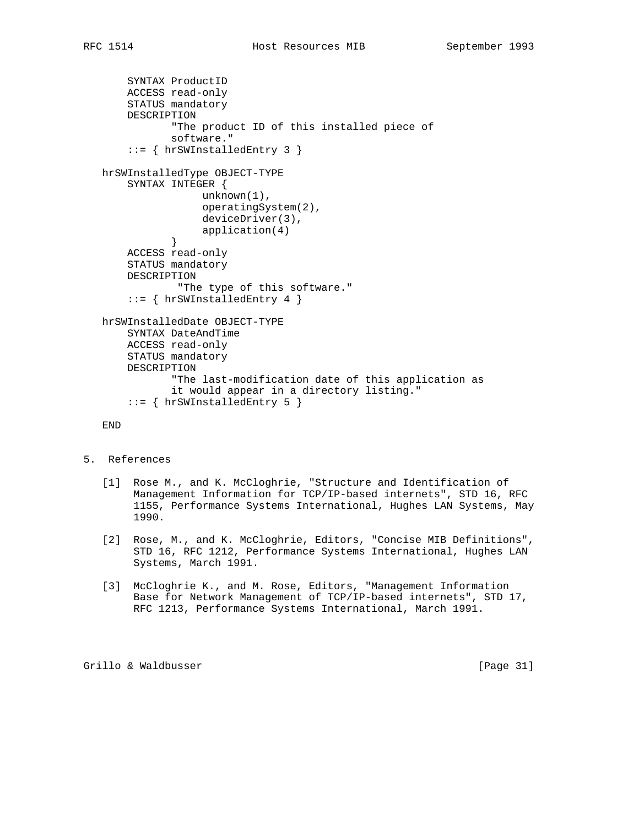```
 SYNTAX ProductID
       ACCESS read-only
       STATUS mandatory
       DESCRIPTION
               "The product ID of this installed piece of
               software."
        ::= { hrSWInstalledEntry 3 }
   hrSWInstalledType OBJECT-TYPE
       SYNTAX INTEGER {
                    unknown(1),
                    operatingSystem(2),
                    deviceDriver(3),
              application(4)<br>}
 }
       ACCESS read-only
       STATUS mandatory
       DESCRIPTION
               "The type of this software."
       ::= { hrSWInstalledEntry 4 }
   hrSWInstalledDate OBJECT-TYPE
       SYNTAX DateAndTime
       ACCESS read-only
       STATUS mandatory
       DESCRIPTION
               "The last-modification date of this application as
               it would appear in a directory listing."
        ::= { hrSWInstalledEntry 5 }
```
END

- 5. References
	- [1] Rose M., and K. McCloghrie, "Structure and Identification of Management Information for TCP/IP-based internets", STD 16, RFC 1155, Performance Systems International, Hughes LAN Systems, May 1990.
	- [2] Rose, M., and K. McCloghrie, Editors, "Concise MIB Definitions", STD 16, RFC 1212, Performance Systems International, Hughes LAN Systems, March 1991.
	- [3] McCloghrie K., and M. Rose, Editors, "Management Information Base for Network Management of TCP/IP-based internets", STD 17, RFC 1213, Performance Systems International, March 1991.

Grillo & Waldbusser [Page 31]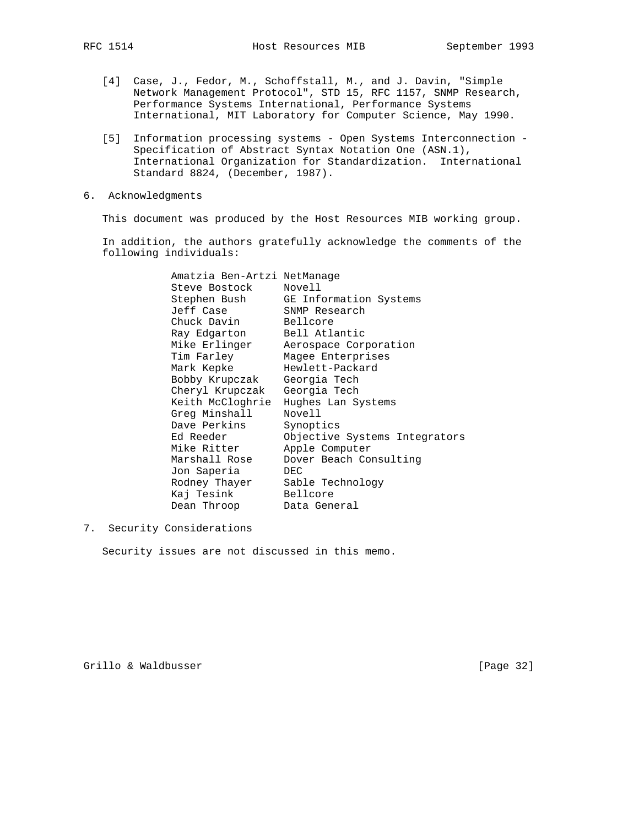- [4] Case, J., Fedor, M., Schoffstall, M., and J. Davin, "Simple Network Management Protocol", STD 15, RFC 1157, SNMP Research, Performance Systems International, Performance Systems International, MIT Laboratory for Computer Science, May 1990.
- [5] Information processing systems Open Systems Interconnection Specification of Abstract Syntax Notation One (ASN.1), International Organization for Standardization. International Standard 8824, (December, 1987).
- 6. Acknowledgments

This document was produced by the Host Resources MIB working group.

 In addition, the authors gratefully acknowledge the comments of the following individuals:

| Amatzia Ben-Artzi NetManage    |                                     |
|--------------------------------|-------------------------------------|
| Steve Bostock Novell           |                                     |
|                                | Stephen Bush GE Information Systems |
| Jeff Case SNMP Research        |                                     |
| Chuck Davin Bellcore           |                                     |
| Ray Edgarton Bell Atlantic     |                                     |
|                                | Mike Erlinger Aerospace Corporation |
|                                | Tim Farley Maqee Enterprises        |
| Mark Kepke Mewlett-Packard     |                                     |
| Bobby Krupczak Georgia Tech    |                                     |
| Cheryl Krupczak Georgia Tech   |                                     |
|                                | Keith McCloghrie Hughes Lan Systems |
| Greg Minshall                  | Novell                              |
| Dave Perkins Synoptics         |                                     |
| Ed Reeder                      | Objective Systems Integrators       |
| Mike Ritter                    | Apple Computer                      |
| Marshall Rose                  | Dover Beach Consulting              |
| Jon Saperia                    | DEC                                 |
| Rodney Thayer Sable Technology |                                     |
| Kaj Tesink Bellcore            |                                     |
| Dean Throop Data General       |                                     |

7. Security Considerations

Security issues are not discussed in this memo.